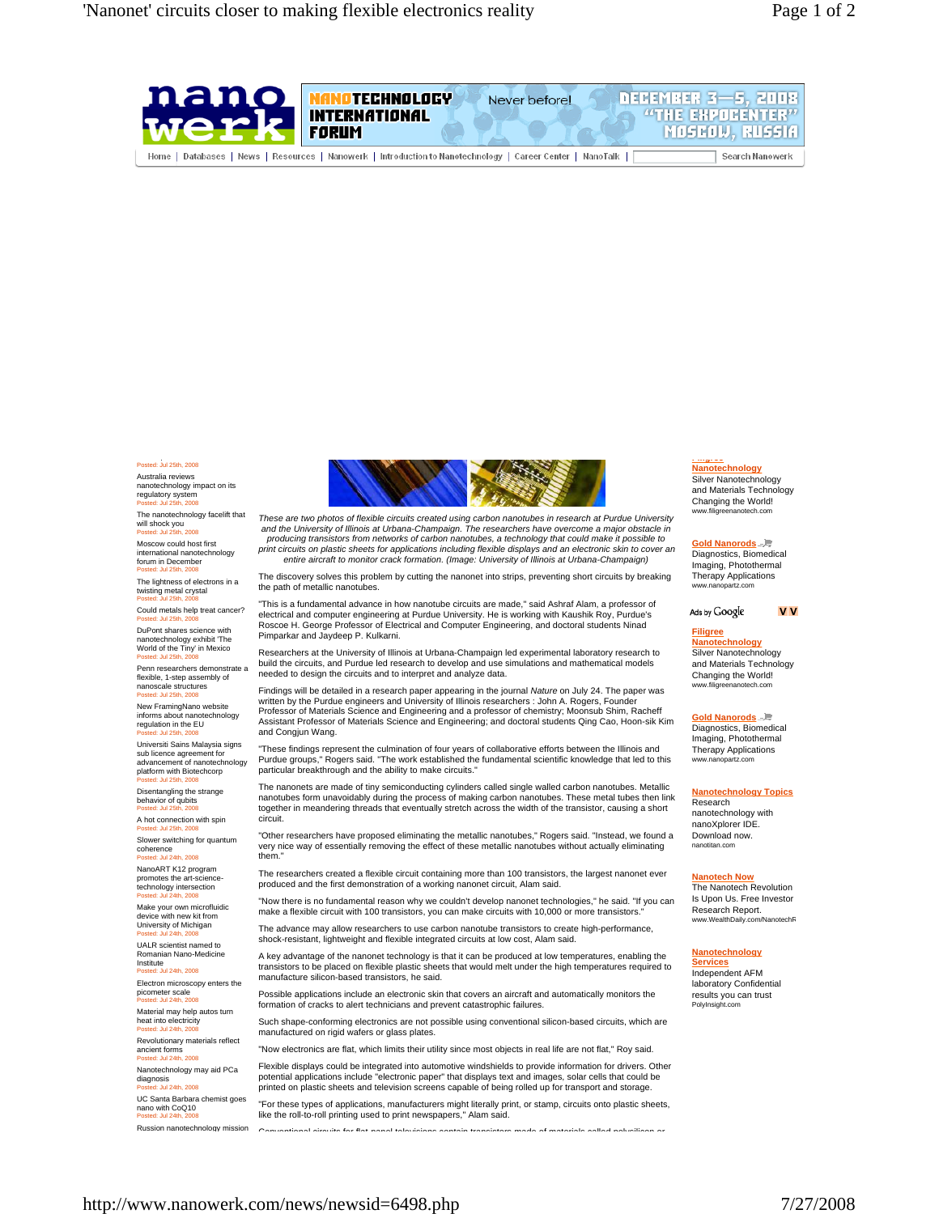

# Posted: Jul 25th, 2008

Australia reviews nanotechnology impact on its regulatory system Posted: Jul 25th, 2008

The nanotechnology facelift that will shock you  $\frac{60}{10}$  2008

Moscow could host first international nanotechnology forum in December

Posted: Jul 25th, 2008 The lightness of electrons in a twisting metal crystal Posted: Jul 25th, 2008

Could metals help treat cancer? Posted: Jul 25th, 2008

DuPont shares science with nanotechnology exhibit 'The World of the Tiny' in Mexico Posted: Jul 25th, 2008

Penn researchers demonstrate a flexible, 1-step assembly of nanoscale structures Posted: Jul 25th, 2008

New FramingNano website informs about nanotechnology regulation in the EU Posted: Jul 25th, 2008

Universiti Sains Malaysia signs sub licence agreement for advancement of nanotechnology platform with Biotechcorp Posted: Jul 25th, 2008

Disentangling the strange behavior of qubits Posted: Jul 25th, 2008

A hot connection with spin Posted: Jul 25th, 2008

Slower switching for quantum coherence Posted: Jul 24th, 2008

NanoART K12 program promotes the art-science-.<br>technology intersection <sub>.</sub><br>24th, 2008

Make your own microfluidic device with new kit from University of Michigan<br>Posted: Jul 24th, 2008

UALR scientist named to Romanian Nano-Medicine Institute

....<br>: Jul 24th, 2008 Electron microscopy enters the picometer scale Posted: Jul 24th, 2008

Material may help autos turn heat into electricity Posted: Jul 24th, 2008

Revolutionary materials reflect ancient forms Cient Torms<br>stad: Jul 24th, 2008

Nanotechnology may aid PCa diagnosis Posted: Jul 24th, 2008

UC Santa Barbara chemist goes nano with CoQ10 Posted: Jul 24th, 2008

Russion nanotechnology mission



*These are two photos of flexible circuits created using carbon nanotubes in research at Purdue University and the University of Illinois at Urbana-Champaign. The researchers have overcome a major obstacle in producing transistors from networks of carbon nanotubes, a technology that could make it possible to print circuits on plastic sheets for applications including flexible displays and an electronic skin to cover an entire aircraft to monitor crack formation. (Image: University of Illinois at Urbana-Champaign)* 

The discovery solves this problem by cutting the nanonet into strips, preventing short circuits by breaking the path of metallic nanotubes.

"This is a fundamental advance in how nanotube circuits are made," said Ashraf Alam, a professor of electrical and computer engineering at Purdue University. He is working with Kaushik Roy, Purdue's Roscoe H. George Professor of Electrical and Computer Engineering, and doctoral students Ninad Pimparkar and Jaydeep P. Kulkarni.

Researchers at the University of Illinois at Urbana-Champaign led experimental laboratory research to build the circuits, and Purdue led research to develop and use simulations and mathematical models needed to design the circuits and to interpret and analyze data.

Findings will be detailed in a research paper appearing in the journal *Nature* on July 24. The paper was written by the Purdue engineers and University of Illinois researchers : John A. Rogers, Founder Professor of Materials Science and Engineering and a professor of chemistry; Moonsub Shim, Racheff Assistant Professor of Materials Science and Engineering; and doctoral students Qing Cao, Hoon-sik Kim and Congjun Wang.

"These findings represent the culmination of four years of collaborative efforts between the Illinois and Purdue groups," Rogers said. "The work established the fundamental scientific knowledge that led to this particular breakthrough and the ability to make circuits."

The nanonets are made of tiny semiconducting cylinders called single walled carbon nanotubes. Metallic nanotubes form unavoidably during the process of making carbon nanotubes. These metal tubes then link together in meandering threads that eventually stretch across the width of the transistor, causing a short circuit.

"Other researchers have proposed eliminating the metallic nanotubes," Rogers said. "Instead, we found a very nice way of essentially removing the effect of these metallic nanotubes without actually eliminating the

The researchers created a flexible circuit containing more than 100 transistors, the largest nanonet ever produced and the first demonstration of a working nanonet circuit, Alam said.

"Now there is no fundamental reason why we couldn't develop nanonet technologies," he said. "If you can make a flexible circuit with 100 transistors, you can make circuits with 10,000 or more transistors.

The advance may allow researchers to use carbon nanotube transistors to create high-performance, shock-resistant, lightweight and flexible integrated circuits at low cost, Alam said.

A key advantage of the nanonet technology is that it can be produced at low temperatures, enabling the transistors to be placed on flexible plastic sheets that would melt under the high temperatures required to manufacture silicon-based transistors, he said.

Possible applications include an electronic skin that covers an aircraft and automatically monitors the formation of cracks to alert technicians and prevent catastrophic failures.

Such shape-conforming electronics are not possible using conventional silicon-based circuits, which are manufactured on rigid wafers or glass plates.

"Now electronics are flat, which limits their utility since most objects in real life are not flat," Roy said.

Flexible displays could be integrated into automotive windshields to provide information for drivers. Other potential applications include "electronic paper" that displays text and images, solar cells that could be printed on plastic sheets and television screens capable of being rolled up for transport and storage

"For these types of applications, manufacturers might literally print, or stamp, circuits onto plastic sheets, like the roll-to-roll printing used to print newspapers," Alam said.

Conventional circuits for flat panel televisions contain transistors made of materials called polysilicon or

#### **Filigree Nanotechnology**

Silver Nanotechnology and Materials Technology Changing the World! www.filigreenanotech.

### **Gold Nanorods**

Diagnostics, Biomedical Imaging, Photothermal Therapy Applications www.nanopartz.com

Ads by Google

**VV** 

### **Filigree**

**Nanotechnology** Silver Nanotechnology and Materials Technology Changing the World! www.filigreenanotech.com

### **Gold Nanorods** Diagnostics, Biomedical

Imaging, Photothermal Therapy Applications www.nanopartz.com

#### **Nanotechnology Topics** Research

nanotechnology with nanoXplorer IDE. Download now. nanotitan.com

## **Nanotech Now**

The Nanotech Revolution Is Upon Us. Free Investor Research Report. www.WealthDaily.com/

## **Nanotechnology**

**Services** Independent AFM laboratory Confidential results you can trust PolyInsight.com